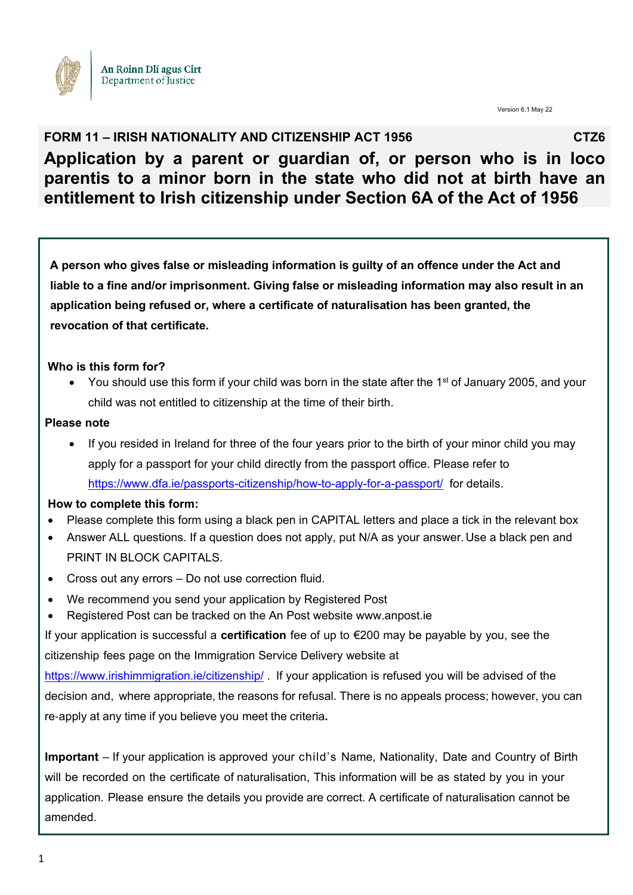

Version 6.1 May 22

## **FORM 11 – IRISH NATIONALITY AND CITIZENSHIP ACT 1956** CTZ6 **Application by a parent or guardian of, or person who is in loco parentis to a minor born in the state who did not at birth have an entitlement to Irish citizenship under Section 6A of the Act of 1956**

**A person who gives false or misleading information is guilty of an offence under the Act and liable to a fine and/or imprisonment. Giving false or misleading information may also result in an application being refused or, where a certificate of naturalisation has been granted, the revocation of that certificate.**

#### **Who is this form for?**

You should use this form if your child was born in the state after the 1<sup>st</sup> of January 2005, and your child was not entitled to citizenship at the time of their birth.

#### **Please note**

• If you resided in Ireland for three of the four years prior to the birth of your minor child you may apply for a passport for your child directly from the passport office. Please refer to <https://www.dfa.ie/passports-citizenship/how-to-apply-for-a-passport/>for details.

#### **How to complete this form:**

- Please complete this form using a black pen in CAPITAL letters and place a tick in the relevant box
- Answer ALL questions. If a question does not apply, put N/A as your answer.Use a black pen and PRINT IN BLOCK CAPITALS.
- Cross out any errors Do not use correction fluid.
- We recommend you send your application by Registered Post
- Registered Post can be tracked on the An Post website www.anpost.ie

If your application is successful a **certification** fee of up to €200 may be payable by you, see the citizenship fees page on the Immigration Service Delivery website at

<https://www.irishimmigration.ie/citizenship/>. If your application is refused you will be advised of the decision and, where appropriate, the reasons for refusal. There is no appeals process; however, you can re‐apply at any time if you believe you meet the criteria**.** 

**Important** – If your application is approved your child's Name, Nationality, Date and Country of Birth will be recorded on the certificate of naturalisation, This information will be as stated by you in your application. Please ensure the details you provide are correct. A certificate of naturalisation cannot be amended.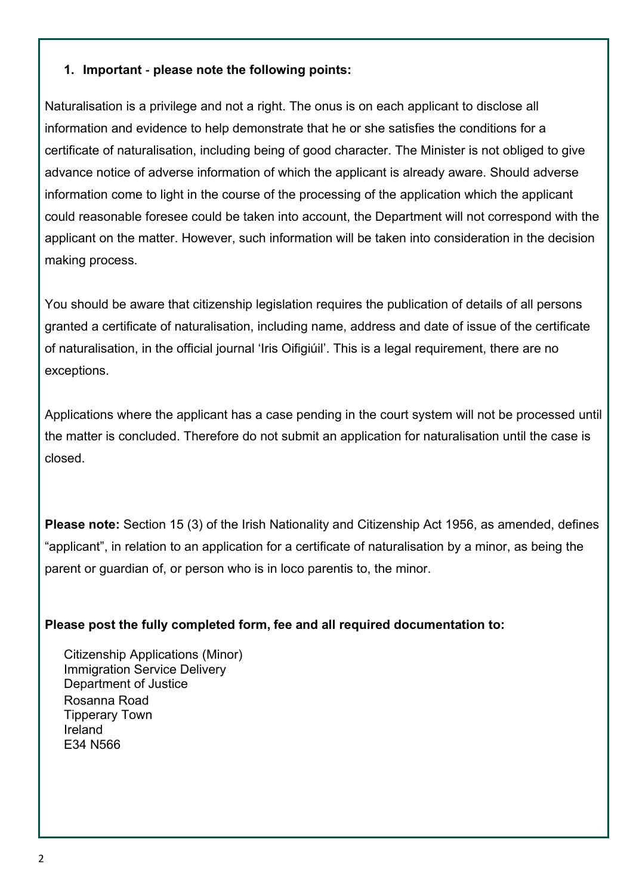### **1. Important** ‐ **please note the following points:**

Naturalisation is a privilege and not a right. The onus is on each applicant to disclose all information and evidence to help demonstrate that he or she satisfies the conditions for a certificate of naturalisation, including being of good character. The Minister is not obliged to give advance notice of adverse information of which the applicant is already aware. Should adverse information come to light in the course of the processing of the application which the applicant could reasonable foresee could be taken into account, the Department will not correspond with the applicant on the matter. However, such information will be taken into consideration in the decision making process.

You should be aware that citizenship legislation requires the publication of details of all persons granted a certificate of naturalisation, including name, address and date of issue of the certificate of naturalisation, in the official journal 'Iris Oifigiúil'. This is a legal requirement, there are no exceptions.

Applications where the applicant has a case pending in the court system will not be processed until the matter is concluded. Therefore do not submit an application for naturalisation until the case is closed.

**Please note:** Section 15 (3) of the Irish Nationality and Citizenship Act 1956, as amended, defines "applicant", in relation to an application for a certificate of naturalisation by a minor, as being the parent or guardian of, or person who is in loco parentis to, the minor.

#### **Please post the fully completed form, fee and all required documentation to:**

Citizenship Applications (Minor) Immigration Service Delivery Department of Justice Rosanna Road Tipperary Town Ireland E34 N566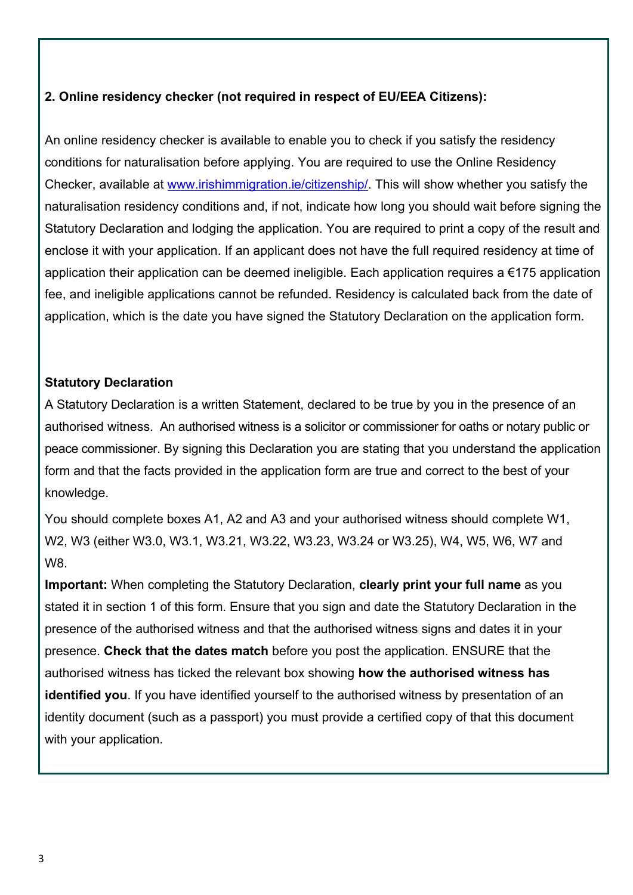### **2. Online residency checker (not required in respect of EU/EEA Citizens):**

An online residency checker is available to enable you to check if you satisfy the residency conditions for naturalisation before applying. You are required to use the Online Residency Checker, available at [www.irishimmigration.ie/citizenship/.](http://www.irishimmigration.ie/citizenship/) This will show whether you satisfy the naturalisation residency conditions and, if not, indicate how long you should wait before signing the Statutory Declaration and lodging the application. You are required to print a copy of the result and enclose it with your application. If an applicant does not have the full required residency at time of application their application can be deemed ineligible. Each application requires a  $\epsilon$ 175 application fee, and ineligible applications cannot be refunded. Residency is calculated back from the date of application, which is the date you have signed the Statutory Declaration on the application form.

### **Statutory Declaration**

A Statutory Declaration is a written Statement, declared to be true by you in the presence of an authorised witness. An authorised witness is a solicitor or commissioner for oaths or notary public or peace commissioner. By signing this Declaration you are stating that you understand the application form and that the facts provided in the application form are true and correct to the best of your knowledge.

You should complete boxes A1, A2 and A3 and your authorised witness should complete W1, W2, W3 (either W3.0, W3.1, W3.21, W3.22, W3.23, W3.24 or W3.25), W4, W5, W6, W7 and W8.

**Important:** When completing the Statutory Declaration, **clearly print your full name** as you stated it in section 1 of this form. Ensure that you sign and date the Statutory Declaration in the presence of the authorised witness and that the authorised witness signs and dates it in your presence. **Check that the dates match** before you post the application. ENSURE that the authorised witness has ticked the relevant box showing **how the authorised witness has identified you**. If you have identified yourself to the authorised witness by presentation of an identity document (such as a passport) you must provide a certified copy of that this document with your application.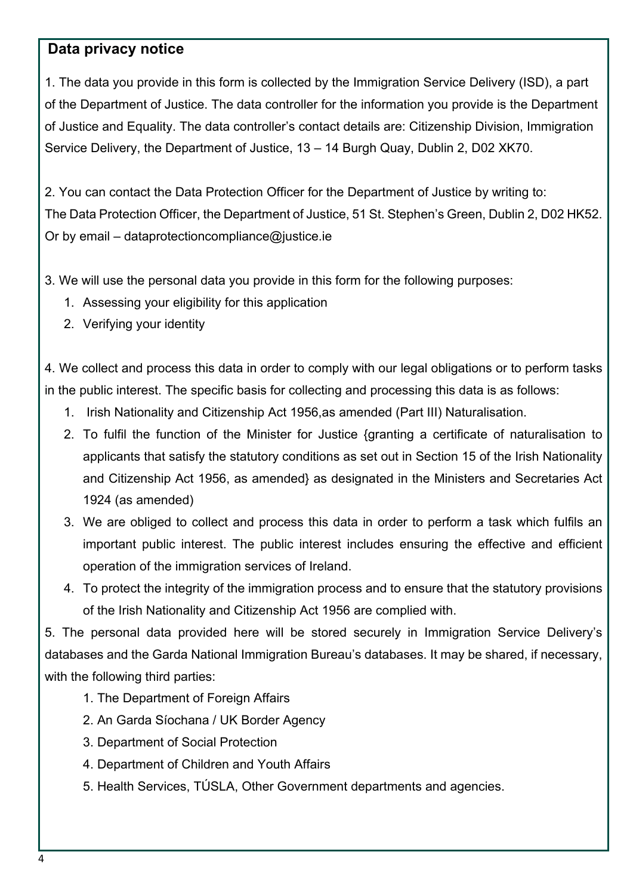### **Data privacy notice**

1. The data you provide in this form is collected by the Immigration Service Delivery (ISD), a part of the Department of Justice. The data controller for the information you provide is the Department of Justice and Equality. The data controller's contact details are: Citizenship Division, Immigration Service Delivery, the Department of Justice, 13 – 14 Burgh Quay, Dublin 2, D02 XK70.

2. You can contact the Data Protection Officer for the Department of Justice by writing to: The Data Protection Officer, the Department of Justice, 51 St. Stephen's Green, Dublin 2, D02 HK52. Or by email – [dataprotectioncompliance@justice.ie](mailto:dataprotectioncompliance@justice.ie)

3. We will use the personal data you provide in this form for the following purposes:

- 1. Assessing your eligibility for this application
- 2. Verifying your identity

4. We collect and process this data in order to comply with our legal obligations or to perform tasks in the public interest. The specific basis for collecting and processing this data is as follows:

- 1. Irish Nationality and Citizenship Act 1956,as amended (Part III) Naturalisation.
- 2. To fulfil the function of the Minister for Justice {granting a certificate of naturalisation to applicants that satisfy the statutory conditions as set out in Section 15 of the Irish Nationality and Citizenship Act 1956, as amended} as designated in the Ministers and Secretaries Act 1924 (as amended)
- 3. We are obliged to collect and process this data in order to perform a task which fulfils an important public interest. The public interest includes ensuring the effective and efficient operation of the immigration services of Ireland.
- 4. To protect the integrity of the immigration process and to ensure that the statutory provisions of the Irish Nationality and Citizenship Act 1956 are complied with.

5. The personal data provided here will be stored securely in Immigration Service Delivery's databases and the Garda National Immigration Bureau's databases. It may be shared, if necessary, with the following third parties:

- 1. The Department of Foreign Affairs
- 2. An Garda Síochana / UK Border Agency
- 3. Department of Social Protection
- 4. Department of Children and Youth Affairs
- 5. Health Services, TÚSLA, Other Government departments and agencies.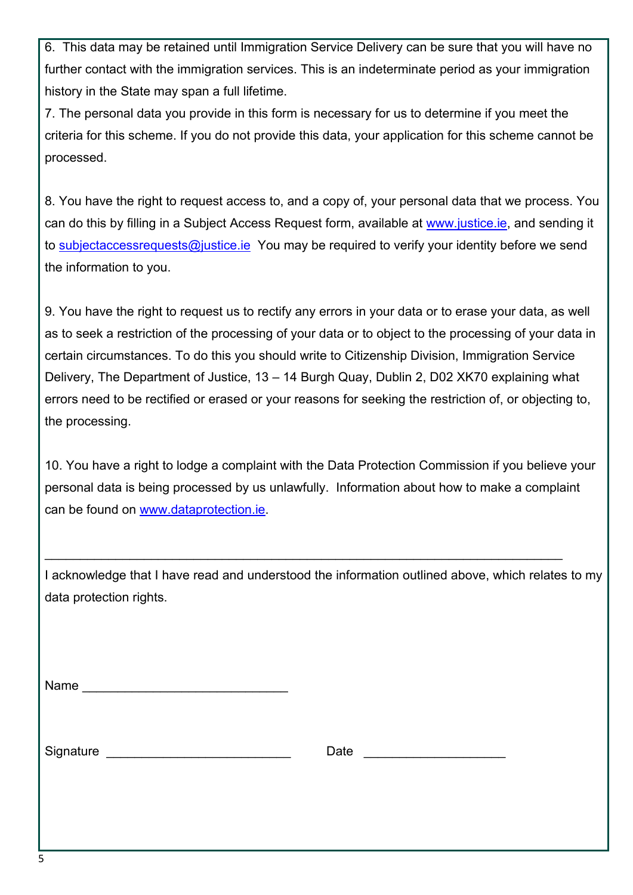6. This data may be retained until Immigration Service Delivery can be sure that you will have no further contact with the immigration services. This is an indeterminate period as your immigration history in the State may span a full lifetime.

7. The personal data you provide in this form is necessary for us to determine if you meet the criteria for this scheme. If you do not provide this data, your application for this scheme cannot be processed.

8. You have the right to request access to, and a copy of, your personal data that we process. You can do this by filling in a Subject Access Request form, available at [www.justice.ie,](http://www.justice.ie/) and sending it to [subjectaccessrequests@justice.ie](mailto:subjectaccessrequests@justice.ie) You may be required to verify your identity before we send the information to you.

9. You have the right to request us to rectify any errors in your data or to erase your data, as well as to seek a restriction of the processing of your data or to object to the processing of your data in certain circumstances. To do this you should write to Citizenship Division, Immigration Service Delivery, The Department of Justice, 13 – 14 Burgh Quay, Dublin 2, D02 XK70 explaining what errors need to be rectified or erased or your reasons for seeking the restriction of, or objecting to, the processing.

10. You have a right to lodge a complaint with the Data Protection Commission if you believe your personal data is being processed by us unlawfully. Information about how to make a complaint can be found on [www.dataprotection.ie.](http://www.dataprotection.ie/)

I acknowledge that I have read and understood the information outlined above, which relates to my data protection rights.

\_\_\_\_\_\_\_\_\_\_\_\_\_\_\_\_\_\_\_\_\_\_\_\_\_\_\_\_\_\_\_\_\_\_\_\_\_\_\_\_\_\_\_\_\_\_\_\_\_\_\_\_\_\_\_\_\_\_\_\_\_\_\_\_\_\_\_\_\_\_\_\_\_

| Name |  |  |  |
|------|--|--|--|
|      |  |  |  |

Signature **Example 20** and the set of the set of the Date  $\Box$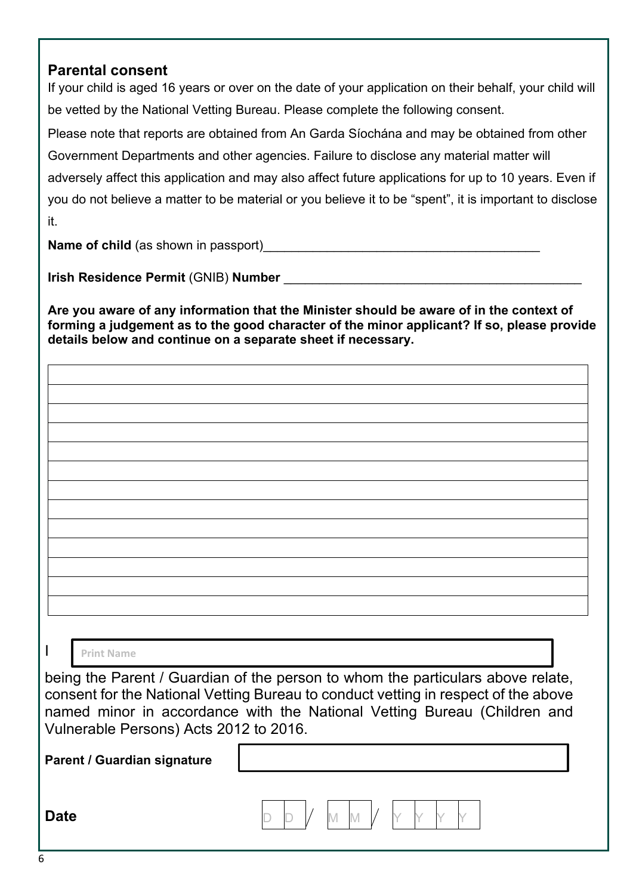### **Parental consent**

If your child is aged 16 years or over on the date of your application on their behalf, your child will be vetted by the National Vetting Bureau. Please complete the following consent. Please note that reports are obtained from An Garda Síochána and may be obtained from other Government Departments and other agencies. Failure to disclose any material matter will adversely affect this application and may also affect future applications for up to 10 years. Even if you do not believe a matter to be material or you believe it to be "spent", it is important to disclose it.

**Name of child** (as shown in passport)

**Irish Residence Permit** (GNIB) **Number** \_\_\_\_\_\_\_\_\_\_\_\_\_\_\_\_\_\_\_\_\_\_\_\_\_\_\_\_\_\_\_\_\_\_\_\_\_\_\_\_\_\_

**Are you aware of any information that the Minister should be aware of in the context of forming a judgement as to the good character of the minor applicant? If so, please provide details below and continue on a separate sheet if necessary.** 

I

#### **Print Name**

being the Parent / Guardian of the person to whom the particulars above relate, consent for the National Vetting Bureau to conduct vetting in respect of the above named minor in accordance with the National Vetting Bureau (Children and Vulnerable Persons) Acts 2012 to 2016.

**Parent / Guardian signature**

**Date D** D D  $\vee$  M M  $\vee$  M  $\vee$  M  $\vee$  M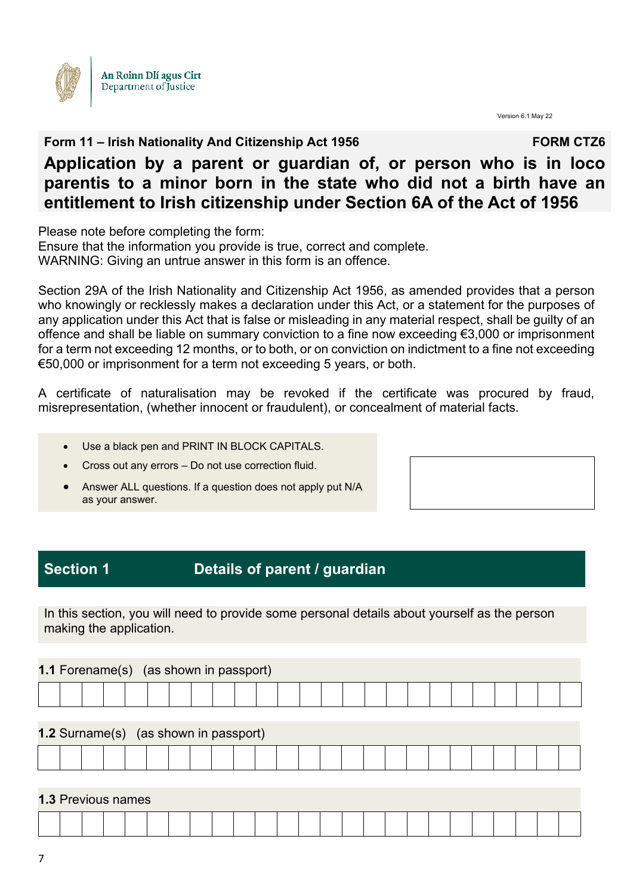

Version 6.1 May 22

#### **Form 11 – Irish Nationality And Citizenship Act 1956** FORM CTZ6

# **Application by a parent or guardian of, or person who is in loco parentis to a minor born in the state who did not a birth have an entitlement to Irish citizenship under Section 6A of the Act of 1956**

Please note before completing the form:

Ensure that the information you provide is true, correct and complete. WARNING: Giving an untrue answer in this form is an offence.

Section 29A of the Irish Nationality and Citizenship Act 1956, as amended provides that a person who knowingly or recklessly makes a declaration under this Act, or a statement for the purposes of any application under this Act that is false or misleading in any material respect, shall be guilty of an offence and shall be liable on summary conviction to a fine now exceeding €3,000 or imprisonment for a term not exceeding 12 months, or to both, or on conviction on indictment to a fine not exceeding €50,000 or imprisonment for a term not exceeding 5 years, or both.

A certificate of naturalisation may be revoked if the certificate was procured by fraud, misrepresentation, (whether innocent or fraudulent), or concealment of material facts.

- Use a black pen and PRINT IN BLOCK CAPITALS.
- Cross out any errors Do not use correction fluid.
- Answer ALL questions. If a question does not apply put N/A as your answer.

### **Section 1 Details of parent / guardian**

In this section, you will need to provide some personal details about yourself as the person making the application.

|  | <b>1.1 Forename(s)</b> (as shown in passport) |  |  |  |  |  |  |  |  |  |  |  |
|--|-----------------------------------------------|--|--|--|--|--|--|--|--|--|--|--|
|  |                                               |  |  |  |  |  |  |  |  |  |  |  |
|  | <b>1.2 Surname(s)</b> (as shown in passport)  |  |  |  |  |  |  |  |  |  |  |  |
|  |                                               |  |  |  |  |  |  |  |  |  |  |  |

#### **1.3** Previous names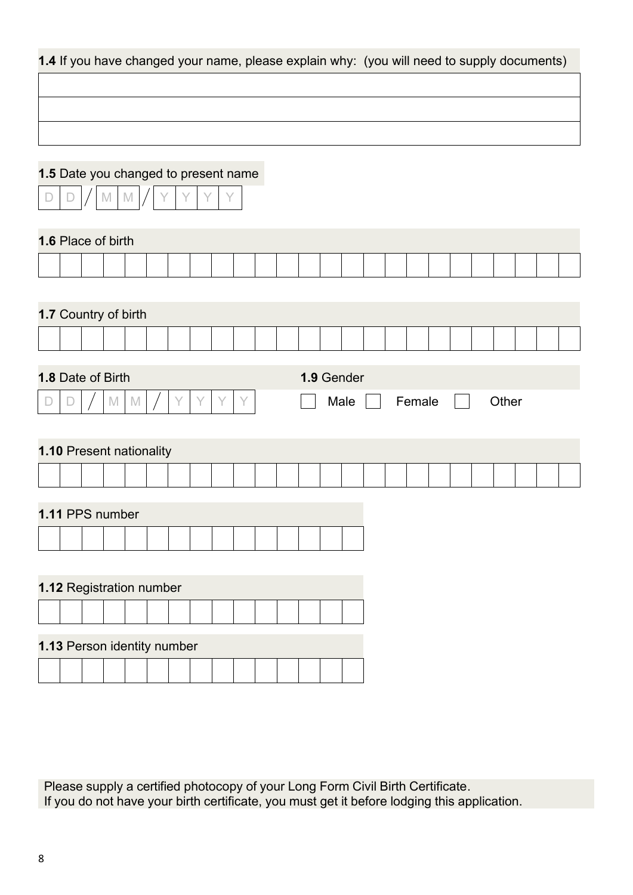| 1.4 If you have changed your name, please explain why: (you will need to supply documents) |                   |   |             |            |      |        |       |  |
|--------------------------------------------------------------------------------------------|-------------------|---|-------------|------------|------|--------|-------|--|
|                                                                                            |                   |   |             |            |      |        |       |  |
|                                                                                            |                   |   |             |            |      |        |       |  |
|                                                                                            |                   |   |             |            |      |        |       |  |
|                                                                                            |                   |   |             |            |      |        |       |  |
| 1.5 Date you changed to present name                                                       |                   |   |             |            |      |        |       |  |
|                                                                                            | $\mathbb{M}$<br>M |   | Υ           |            |      |        |       |  |
| 1.6 Place of birth                                                                         |                   |   |             |            |      |        |       |  |
|                                                                                            |                   |   |             |            |      |        |       |  |
|                                                                                            |                   |   |             |            |      |        |       |  |
| 1.7 Country of birth                                                                       |                   |   |             |            |      |        |       |  |
|                                                                                            |                   |   |             |            |      |        |       |  |
|                                                                                            |                   |   |             |            |      |        |       |  |
| 1.8 Date of Birth                                                                          |                   |   |             | 1.9 Gender |      |        |       |  |
|                                                                                            |                   |   |             |            |      |        |       |  |
|                                                                                            | $\mathbb M$<br>M  | Υ | Y<br>Y<br>Y |            | Male | Female | Other |  |
|                                                                                            |                   |   |             |            |      |        |       |  |
| 1.10 Present nationality                                                                   |                   |   |             |            |      |        |       |  |
|                                                                                            |                   |   |             |            |      |        |       |  |
|                                                                                            |                   |   |             |            |      |        |       |  |
| 1.11 PPS number                                                                            |                   |   |             |            |      |        |       |  |
|                                                                                            |                   |   |             |            |      |        |       |  |
|                                                                                            |                   |   |             |            |      |        |       |  |
| 1.12 Registration number                                                                   |                   |   |             |            |      |        |       |  |
|                                                                                            |                   |   |             |            |      |        |       |  |
| 1.13 Person identity number                                                                |                   |   |             |            |      |        |       |  |

Please supply a certified photocopy of your Long Form Civil Birth Certificate. If you do not have your birth certificate, you must get it before lodging this application.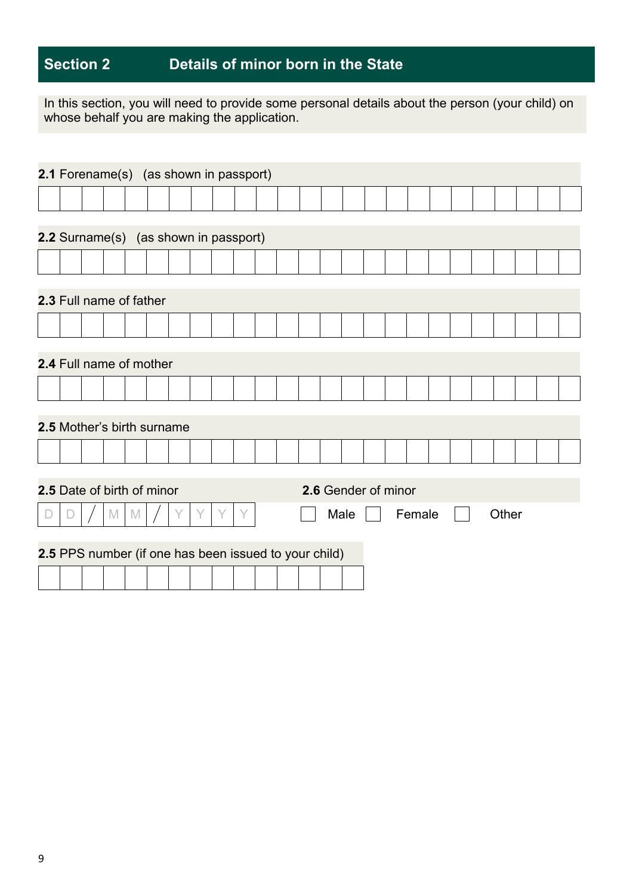# **Section 2 Details of minor born in the State**

In this section, you will need to provide some personal details about the person (your child) on whose behalf you are making the application.

| 2.1 Forename(s) (as shown in passport)                |        |  |   |   |  |  |      |                     |        |  |       |  |  |
|-------------------------------------------------------|--------|--|---|---|--|--|------|---------------------|--------|--|-------|--|--|
|                                                       |        |  |   |   |  |  |      |                     |        |  |       |  |  |
|                                                       |        |  |   |   |  |  |      |                     |        |  |       |  |  |
| 2.2 Surname(s) (as shown in passport)                 |        |  |   |   |  |  |      |                     |        |  |       |  |  |
|                                                       |        |  |   |   |  |  |      |                     |        |  |       |  |  |
| 2.3 Full name of father                               |        |  |   |   |  |  |      |                     |        |  |       |  |  |
|                                                       |        |  |   |   |  |  |      |                     |        |  |       |  |  |
| 2.4 Full name of mother                               |        |  |   |   |  |  |      |                     |        |  |       |  |  |
|                                                       |        |  |   |   |  |  |      |                     |        |  |       |  |  |
|                                                       |        |  |   |   |  |  |      |                     |        |  |       |  |  |
| <b>2.5 Mother's birth surname</b>                     |        |  |   |   |  |  |      |                     |        |  |       |  |  |
|                                                       |        |  |   |   |  |  |      |                     |        |  |       |  |  |
|                                                       |        |  |   |   |  |  |      |                     |        |  |       |  |  |
| 2.5 Date of birth of minor                            |        |  |   |   |  |  |      | 2.6 Gender of minor |        |  |       |  |  |
|                                                       | M<br>M |  | Υ | Y |  |  | Male |                     | Female |  | Other |  |  |
| 2.5 PPS number (if one has been issued to your child) |        |  |   |   |  |  |      |                     |        |  |       |  |  |
|                                                       |        |  |   |   |  |  |      |                     |        |  |       |  |  |
|                                                       |        |  |   |   |  |  |      |                     |        |  |       |  |  |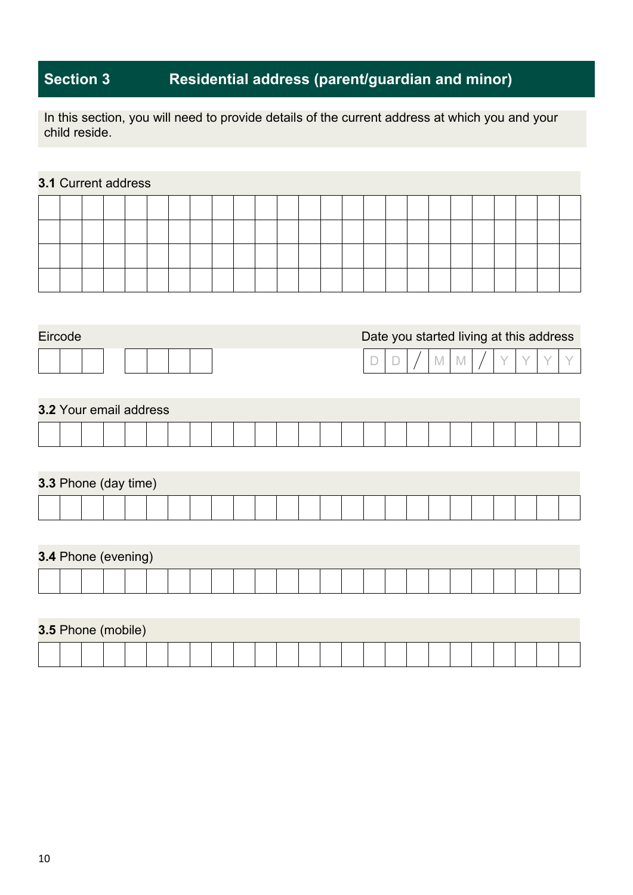# **Section 3 Residential address (parent/guardian and minor)**

In this section, you will need to provide details of the current address at which you and your child reside.

### **3.1** Current address

| Eircode                       | Date you started living at this address |
|-------------------------------|-----------------------------------------|
|                               | $\mathbb{M}$<br>M<br>D                  |
|                               |                                         |
| <b>3.2 Your email address</b> |                                         |
|                               |                                         |
|                               |                                         |
| 3.3 Phone (day time)          |                                         |
|                               |                                         |
|                               |                                         |
| 3.4 Phone (evening)           |                                         |
|                               |                                         |
|                               |                                         |
| 3.5 Phone (mobile)            |                                         |
|                               |                                         |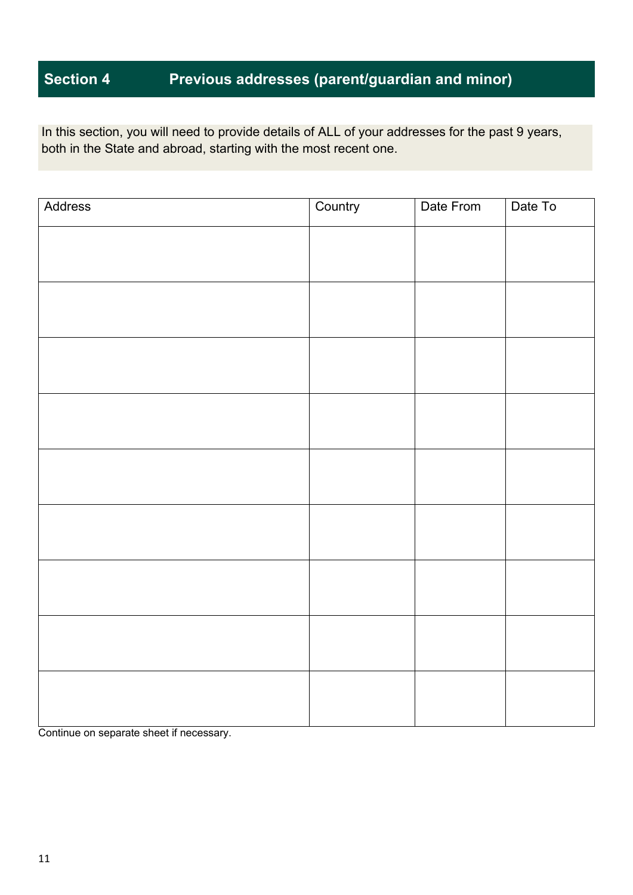# **Section 4 Previous addresses (parent/guardian and minor)**

In this section, you will need to provide details of ALL of your addresses for the past 9 years, both in the State and abroad, starting with the most recent one.

| Address | Country | Date From | Date To |
|---------|---------|-----------|---------|
|         |         |           |         |
|         |         |           |         |
|         |         |           |         |
|         |         |           |         |
|         |         |           |         |
|         |         |           |         |
|         |         |           |         |
|         |         |           |         |
|         |         |           |         |
|         |         |           |         |
|         |         |           |         |
|         |         |           |         |
|         |         |           |         |
|         |         |           |         |
|         |         |           |         |
|         |         |           |         |
|         |         |           |         |
|         |         |           |         |

Continue on separate sheet if necessary.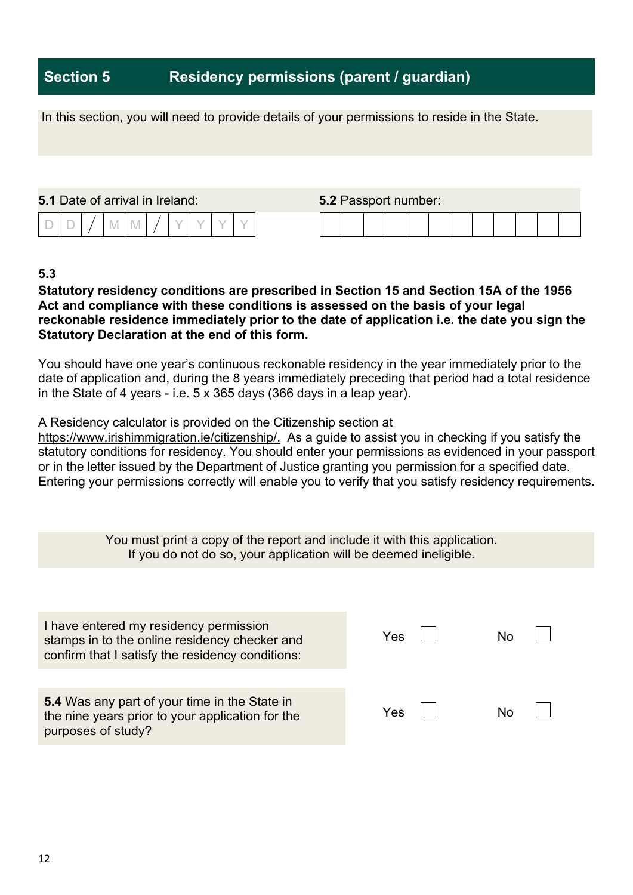### **Section 5 Residency permissions (parent / guardian)**

|                                        |  |  |  |  | In this section, you will need to provide details of your permissions to reside in the State. |                             |  |  |  |  |  |  |
|----------------------------------------|--|--|--|--|-----------------------------------------------------------------------------------------------|-----------------------------|--|--|--|--|--|--|
|                                        |  |  |  |  |                                                                                               |                             |  |  |  |  |  |  |
| <b>5.1</b> Date of arrival in Ireland: |  |  |  |  |                                                                                               | <b>5.2 Passport number:</b> |  |  |  |  |  |  |
|                                        |  |  |  |  |                                                                                               |                             |  |  |  |  |  |  |

### **5.3**

#### **Statutory residency conditions are prescribed in Section 15 and Section 15A of the 1956 Act and compliance with these conditions is assessed on the basis of your legal reckonable residence immediately prior to the date of application i.e. the date you sign the Statutory Declaration at the end of this form.**

You should have one year's continuous reckonable residency in the year immediately prior to the date of application and, during the 8 years immediately preceding that period had a total residence in the State of 4 years - i.e. 5 x 365 days (366 days in a leap year).

A Residency calculator is provided on the Citizenship section at

[https://www.irishimmigration.ie/citizenship/.](https://www.irishimmigration.ie/citizenship/) As a guide to assist you in checking if you satisfy the statutory conditions for residency. You should enter your permissions as evidenced in your passport or in the letter issued by the Department of Justice granting you permission for a specified date. Entering your permissions correctly will enable you to verify that you satisfy residency requirements.

> You must print a copy of the report and include it with this application. If you do not do so, your application will be deemed ineligible.

| I have entered my residency permission<br>stamps in to the online residency checker and<br>confirm that I satisfy the residency conditions: | Yes |  |
|---------------------------------------------------------------------------------------------------------------------------------------------|-----|--|
| 5.4 Was any part of your time in the State in<br>the nine years prior to your application for the<br>purposes of study?                     | Yes |  |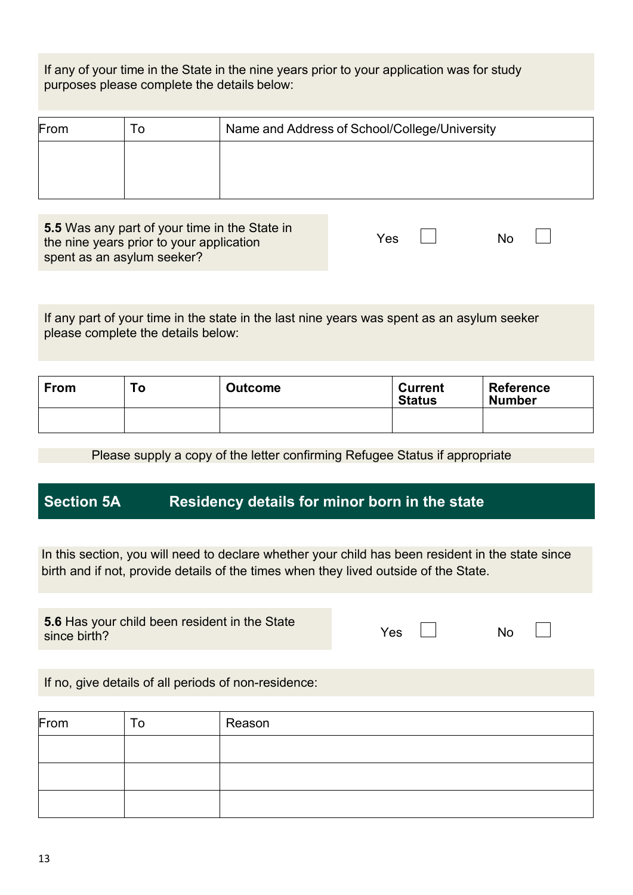If any of your time in the State in the nine years prior to your application was for study purposes please complete the details below:

| From | $\Omega$ | Name and Address of School/College/University |
|------|----------|-----------------------------------------------|
|      |          |                                               |
|      |          |                                               |

**5.5** Was any part of your time in the State in the nine years prior to your application spent as an asylum seeker?

| $\lambda$<br>'es<br>N٥ |  |
|------------------------|--|
|------------------------|--|

If any part of your time in the state in the last nine years was spent as an asylum seeker please complete the details below:

| <b>From</b> | To | <b>Outcome</b> | <b>Current</b><br><b>Status</b> | <b>Reference</b><br><b>Number</b> |
|-------------|----|----------------|---------------------------------|-----------------------------------|
|             |    |                |                                 |                                   |

Please supply a copy of the letter confirming Refugee Status if appropriate

### **Section 5A Residency details for minor born in the state**

In this section, you will need to declare whether your child has been resident in the state since birth and if not, provide details of the times when they lived outside of the State.

**5.6** Has your child been resident in the State since birth?

| Yes<br>No |
|-----------|
|           |
|           |
|           |
|           |
|           |

If no, give details of all periods of non-residence:

| From | To | Reason |
|------|----|--------|
|      |    |        |
|      |    |        |
|      |    |        |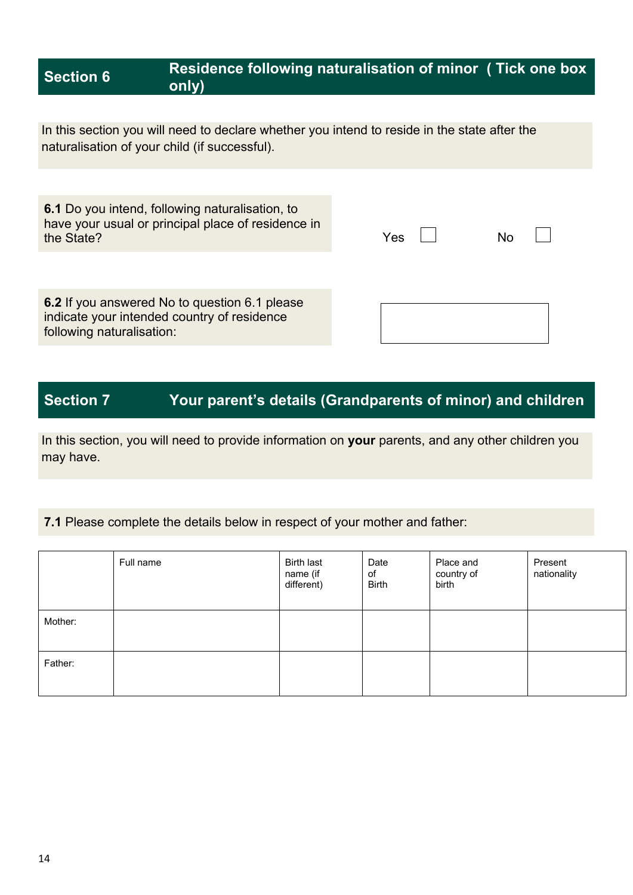### **Section 6 Residence following naturalisation of minor ( Tick one box only)**

In this section you will need to declare whether you intend to reside in the state after the naturalisation of your child (if successful).

**6.1** Do you intend, following naturalisation, to have your usual or principal place of residence in the State?

| Yes | No |  |
|-----|----|--|
|     |    |  |

**6.2** If you answered No to question 6.1 please indicate your intended country of residence following naturalisation:

# **Section 7 Your parent's details (Grandparents of minor) and children**

In this section, you will need to provide information on **your** parents, and any other children you may have.

#### **7.1** Please complete the details below in respect of your mother and father:

|         | Full name | <b>Birth last</b><br>name (if<br>different) | Date<br>of<br><b>Birth</b> | Place and<br>country of<br>birth | Present<br>nationality |
|---------|-----------|---------------------------------------------|----------------------------|----------------------------------|------------------------|
| Mother: |           |                                             |                            |                                  |                        |
| Father: |           |                                             |                            |                                  |                        |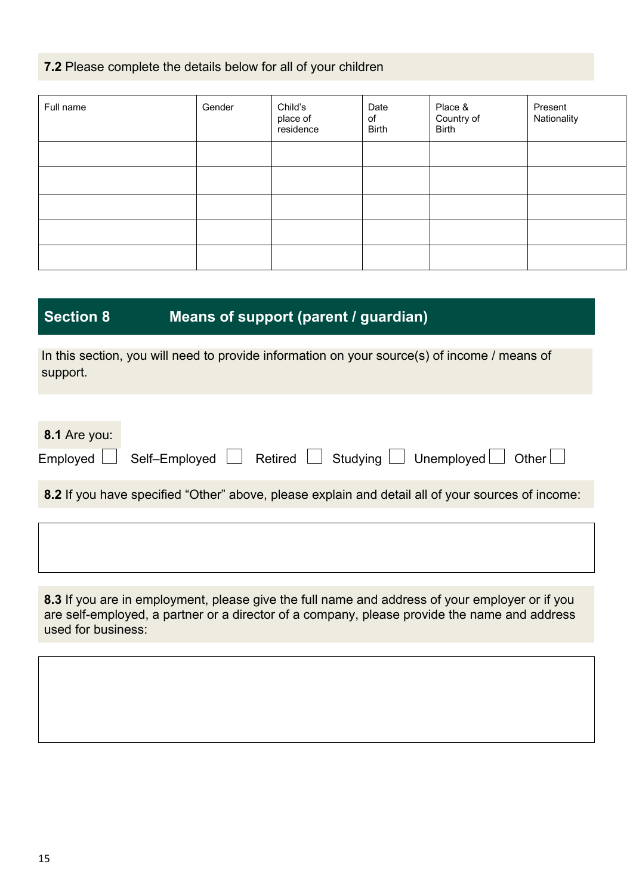#### **7.2** Please complete the details below for all of your children

| Full name | Gender | Child's<br>place of<br>residence | Date<br>of<br><b>Birth</b> | Place &<br>Country of<br><b>Birth</b> | Present<br>Nationality |
|-----------|--------|----------------------------------|----------------------------|---------------------------------------|------------------------|
|           |        |                                  |                            |                                       |                        |
|           |        |                                  |                            |                                       |                        |
|           |        |                                  |                            |                                       |                        |
|           |        |                                  |                            |                                       |                        |
|           |        |                                  |                            |                                       |                        |

# **Section 8 Means of support (parent / guardian)**

In this section, you will need to provide information on your source(s) of income / means of support.

| 8.1 Are you: |                                                                                                   |
|--------------|---------------------------------------------------------------------------------------------------|
|              | Employed Self-Employed Retired Studying Unemployed Other                                          |
|              | 8.2 If you have specified "Other" above, please explain and detail all of your sources of income: |

**8.3** If you are in employment, please give the full name and address of your employer or if you are self-employed, a partner or a director of a company, please provide the name and address used for business: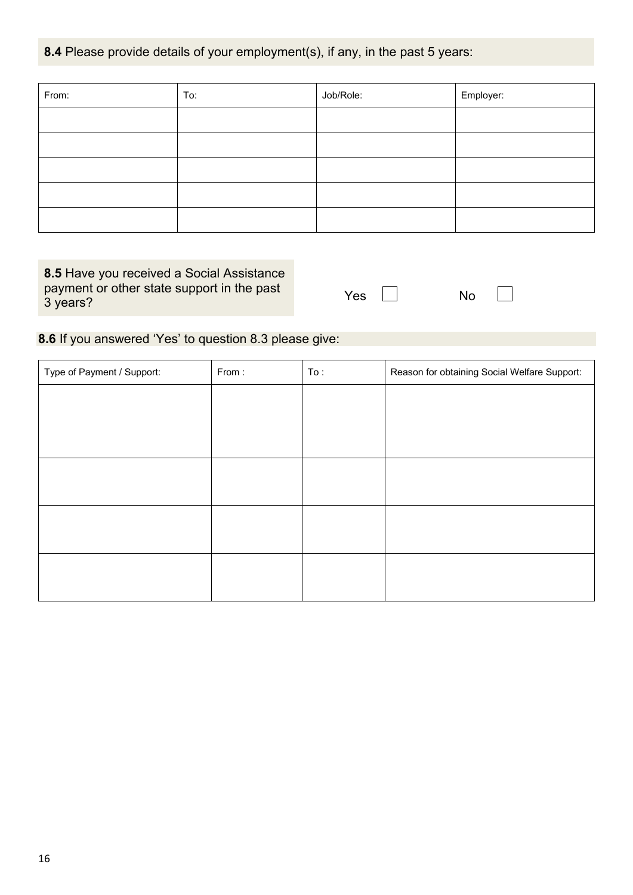#### **8.4** Please provide details of your employment(s), if any, in the past 5 years:

| From: | To: | Job/Role: | Employer: |
|-------|-----|-----------|-----------|
|       |     |           |           |
|       |     |           |           |
|       |     |           |           |
|       |     |           |           |
|       |     |           |           |

**8.5** Have you received a Social Assistance payment or other state support in the past 3 years?

| Yes | N٥ |
|-----|----|
|     |    |

 $\sim$ 

**8.6** If you answered 'Yes' to question 8.3 please give:

| Type of Payment / Support: | From: | To: | Reason for obtaining Social Welfare Support: |
|----------------------------|-------|-----|----------------------------------------------|
|                            |       |     |                                              |
|                            |       |     |                                              |
|                            |       |     |                                              |
|                            |       |     |                                              |
|                            |       |     |                                              |
|                            |       |     |                                              |
|                            |       |     |                                              |
|                            |       |     |                                              |
|                            |       |     |                                              |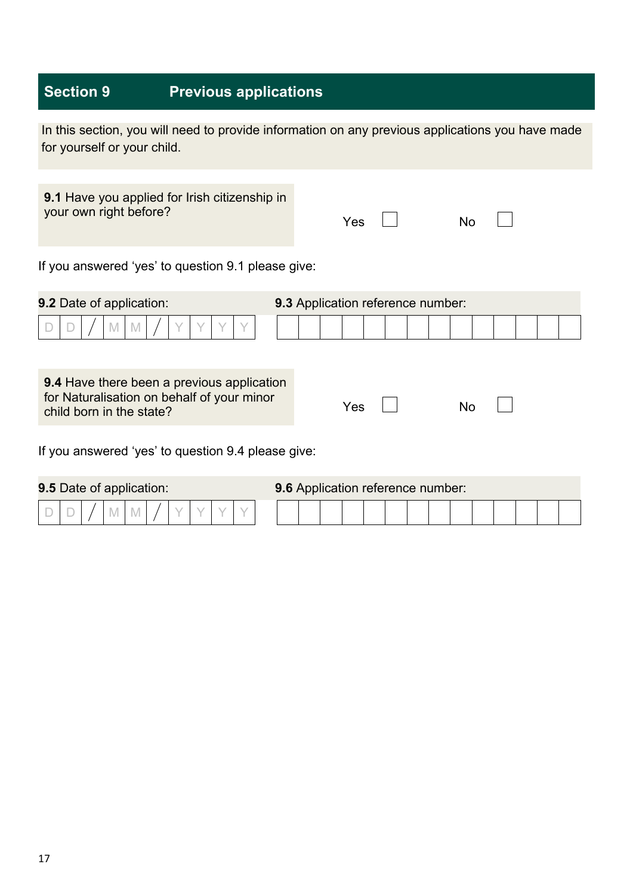# **Section 9 Previous applications**

| In this section, you will need to provide information on any previous applications you have made |  |  |  |  |
|--------------------------------------------------------------------------------------------------|--|--|--|--|
| for yourself or your child.                                                                      |  |  |  |  |

Yes No **9.1** Have you applied for Irish citizenship in your own right before?

If you answered 'yes' to question 9.1 please give:

| <b>9.2 Date of application:</b>                                                                                             | 9.3 Application reference number: |  |  |  |
|-----------------------------------------------------------------------------------------------------------------------------|-----------------------------------|--|--|--|
| $\mathbb N$<br>M                                                                                                            |                                   |  |  |  |
| <b>9.4</b> Have there been a previous application<br>for Naturalisation on behalf of your minor<br>child born in the state? | Yes<br>N٥                         |  |  |  |
| If you answered 'yes' to question 9.4 please give:                                                                          |                                   |  |  |  |

| <b>9.5 Date of application:</b> |  |  |  |  |  |  |  |  | 9.6 Application reference number: |  |  |  |  |  |  |  |  |
|---------------------------------|--|--|--|--|--|--|--|--|-----------------------------------|--|--|--|--|--|--|--|--|
|                                 |  |  |  |  |  |  |  |  |                                   |  |  |  |  |  |  |  |  |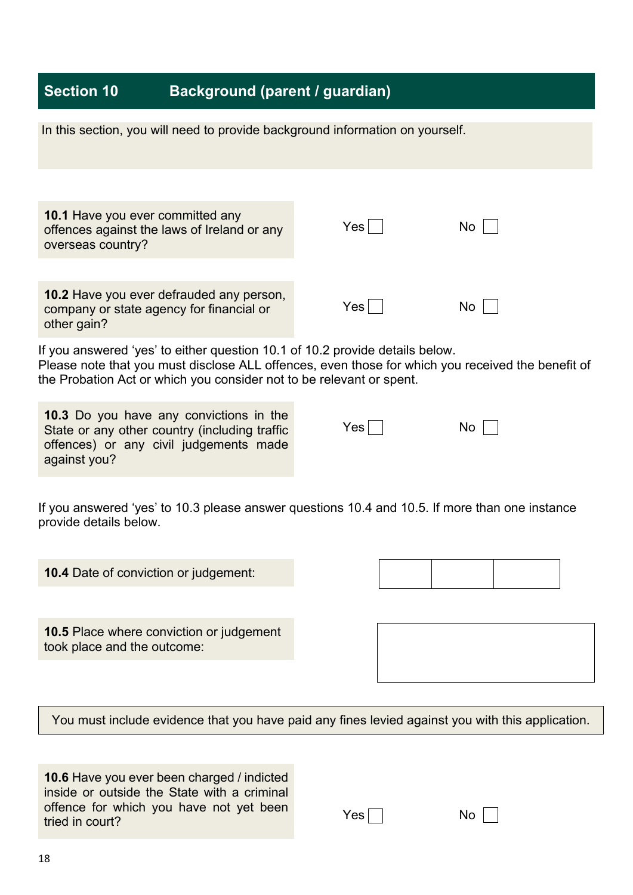# **Section 10 Background (parent / guardian)**

| In this section, you will need to provide background information on yourself.                                                                                                                                                                             |     |     |  |
|-----------------------------------------------------------------------------------------------------------------------------------------------------------------------------------------------------------------------------------------------------------|-----|-----|--|
| <b>10.1 Have you ever committed any</b><br>offences against the laws of Ireland or any<br>overseas country?                                                                                                                                               | Yes | No  |  |
| 10.2 Have you ever defrauded any person,<br>company or state agency for financial or<br>other gain?                                                                                                                                                       | Yes | No  |  |
| If you answered 'yes' to either question 10.1 of 10.2 provide details below.<br>Please note that you must disclose ALL offences, even those for which you received the benefit of<br>the Probation Act or which you consider not to be relevant or spent. |     |     |  |
| 10.3 Do you have any convictions in the<br>State or any other country (including traffic<br>offences) or any civil judgements made<br>against you?                                                                                                        | Yes | No. |  |
| If you answered 'yes' to 10.3 please answer questions 10.4 and 10.5. If more than one instance<br>provide details below.                                                                                                                                  |     |     |  |
| <b>10.4</b> Date of conviction or judgement:                                                                                                                                                                                                              |     |     |  |
| 10.5 Place where conviction or judgement<br>took place and the outcome:                                                                                                                                                                                   |     |     |  |
| You must include evidence that you have paid any fines levied against you with this application.                                                                                                                                                          |     |     |  |
|                                                                                                                                                                                                                                                           |     |     |  |

**10.6** Have you ever been charged / indicted inside or outside the State with a criminal offence for which you have not yet been tried in court?

 $Yes \frown$  No  $\frown$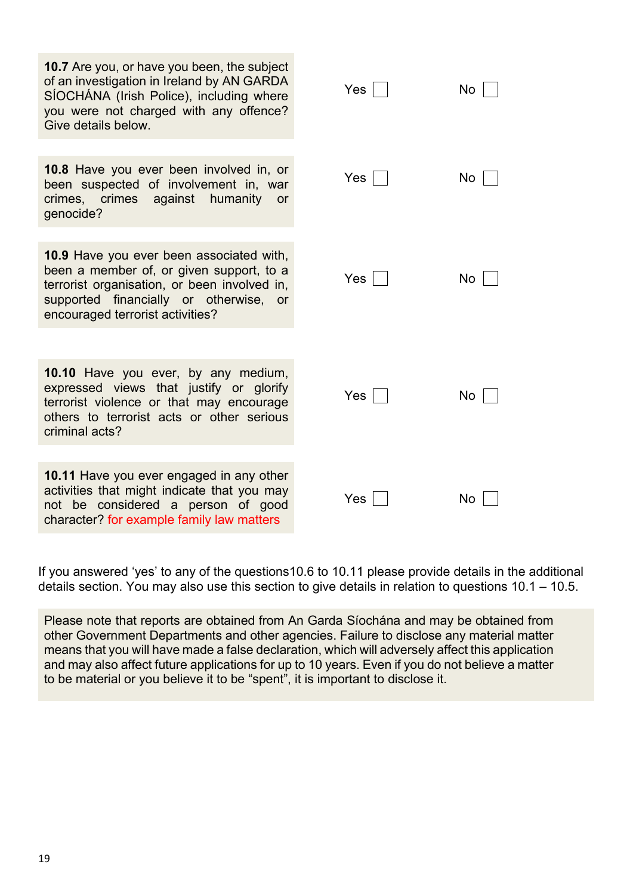| <b>10.7</b> Are you, or have you been, the subject<br>of an investigation in Ireland by AN GARDA<br>SÍOCHÁNA (Irish Police), including where<br>you were not charged with any offence?<br>Give details below.                | Yes | No |
|------------------------------------------------------------------------------------------------------------------------------------------------------------------------------------------------------------------------------|-----|----|
|                                                                                                                                                                                                                              |     |    |
| 10.8 Have you ever been involved in, or<br>been suspected of involvement in, war<br>crimes, crimes<br>against<br>humanity<br>or<br>genocide?                                                                                 | Yes | No |
|                                                                                                                                                                                                                              |     |    |
| <b>10.9</b> Have you ever been associated with,<br>been a member of, or given support, to a<br>terrorist organisation, or been involved in,<br>supported financially or otherwise,<br>or<br>encouraged terrorist activities? | Yes | No |
|                                                                                                                                                                                                                              |     |    |
|                                                                                                                                                                                                                              |     |    |
| 10.10 Have you ever, by any medium,<br>expressed views that justify or glorify<br>terrorist violence or that may encourage<br>others to terrorist acts or other serious<br>criminal acts?                                    | Yes | No |
|                                                                                                                                                                                                                              |     |    |
| 10.11 Have you ever engaged in any other<br>activities that might indicate that you may<br>not be considered a person of good<br>character? for example family law matters                                                   | Yes | No |

If you answered 'yes' to any of the questions10.6 to 10.11 please provide details in the additional details section. You may also use this section to give details in relation to questions 10.1 – 10.5.

Please note that reports are obtained from An Garda Síochána and may be obtained from other Government Departments and other agencies. Failure to disclose any material matter means that you will have made a false declaration, which will adversely affect this application and may also affect future applications for up to 10 years. Even if you do not believe a matter to be material or you believe it to be "spent", it is important to disclose it.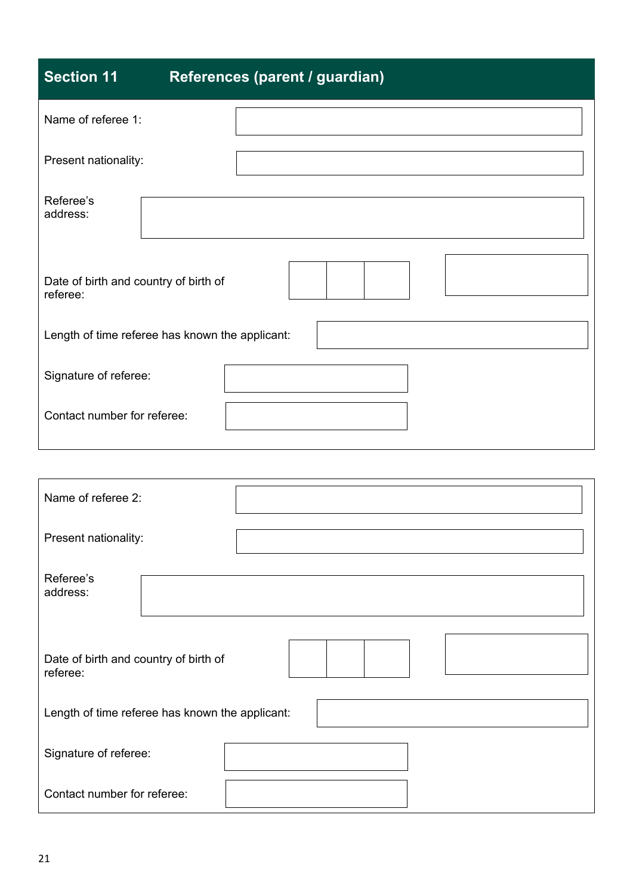| <b>Section 11</b>                                 | References (parent / guardian)                  |
|---------------------------------------------------|-------------------------------------------------|
| Name of referee 1:                                |                                                 |
| Present nationality:                              |                                                 |
| Referee's<br>address:                             |                                                 |
| Date of birth and country of birth of<br>referee: |                                                 |
|                                                   | Length of time referee has known the applicant: |
| Signature of referee:                             |                                                 |
| Contact number for referee:                       |                                                 |
|                                                   |                                                 |

| Name of referee 2:                                |  |  |  |  |  |  |  |  |
|---------------------------------------------------|--|--|--|--|--|--|--|--|
| Present nationality:                              |  |  |  |  |  |  |  |  |
| Referee's<br>address:                             |  |  |  |  |  |  |  |  |
| Date of birth and country of birth of<br>referee: |  |  |  |  |  |  |  |  |
| Length of time referee has known the applicant:   |  |  |  |  |  |  |  |  |
| Signature of referee:                             |  |  |  |  |  |  |  |  |
| Contact number for referee:                       |  |  |  |  |  |  |  |  |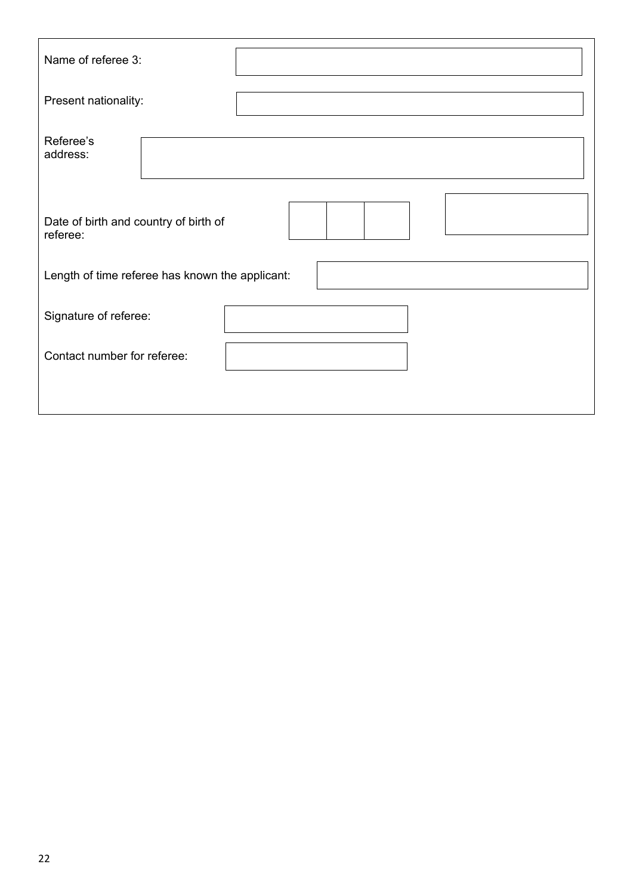| Name of referee 3:                                |  |
|---------------------------------------------------|--|
| Present nationality:                              |  |
| Referee's<br>address:                             |  |
| Date of birth and country of birth of<br>referee: |  |
| Length of time referee has known the applicant:   |  |
| Signature of referee:                             |  |
| Contact number for referee:                       |  |
|                                                   |  |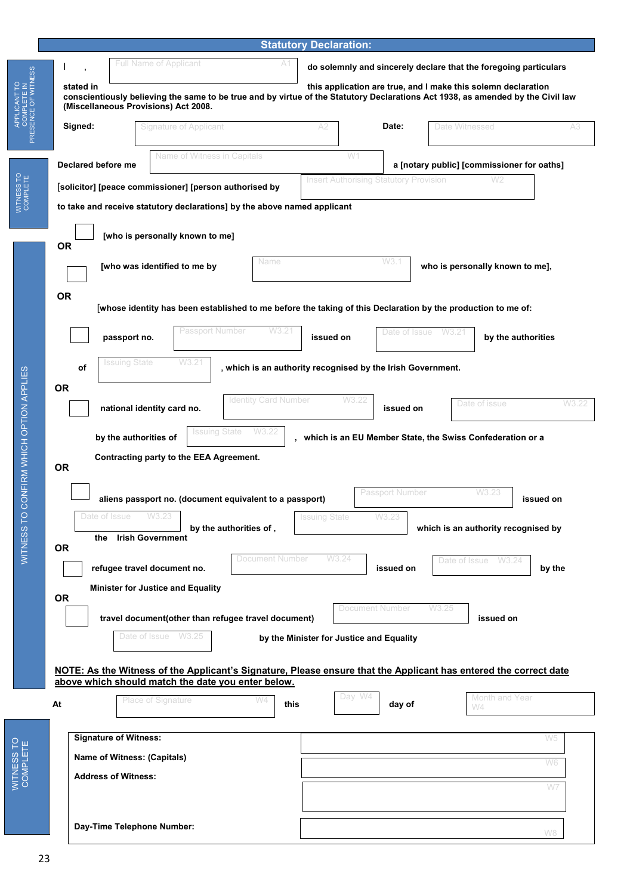|                                    |                                                                                                                                                                                                                                                       |                                                                                                             |                                                                                                                                                                        |                             | <b>Statutory Declaration:</b>                 |                                          |                                                                  |                      |           |  |  |  |
|------------------------------------|-------------------------------------------------------------------------------------------------------------------------------------------------------------------------------------------------------------------------------------------------------|-------------------------------------------------------------------------------------------------------------|------------------------------------------------------------------------------------------------------------------------------------------------------------------------|-----------------------------|-----------------------------------------------|------------------------------------------|------------------------------------------------------------------|----------------------|-----------|--|--|--|
|                                    |                                                                                                                                                                                                                                                       |                                                                                                             | <b>Full Name of Applicant</b>                                                                                                                                          |                             |                                               |                                          | do solemnly and sincerely declare that the foregoing particulars |                      |           |  |  |  |
| COMPLETE IN<br>PRESENCE OF WITNESS | stated in<br>this application are true, and I make this solemn declaration<br>conscientiously believing the same to be true and by virtue of the Statutory Declarations Act 1938, as amended by the Civil law<br>(Miscellaneous Provisions) Act 2008. |                                                                                                             |                                                                                                                                                                        |                             |                                               |                                          |                                                                  |                      |           |  |  |  |
|                                    | Signed:                                                                                                                                                                                                                                               |                                                                                                             | <b>Signature of Applicant</b>                                                                                                                                          |                             | A2                                            | Date:                                    | Date Witnessed                                                   |                      | A3        |  |  |  |
|                                    | Declared before me                                                                                                                                                                                                                                    |                                                                                                             | Name of Witness in Capitals                                                                                                                                            |                             |                                               | W1                                       | a [notary public] [commissioner for oaths]                       | W <sub>2</sub>       |           |  |  |  |
| COMPLETE                           |                                                                                                                                                                                                                                                       |                                                                                                             | [solicitor] [peace commissioner] [person authorised by                                                                                                                 |                             | <b>Insert Authorising Statutory Provision</b> |                                          |                                                                  |                      |           |  |  |  |
|                                    |                                                                                                                                                                                                                                                       |                                                                                                             | to take and receive statutory declarations] by the above named applicant                                                                                               |                             |                                               |                                          |                                                                  |                      |           |  |  |  |
|                                    | <b>OR</b>                                                                                                                                                                                                                                             |                                                                                                             | [who is personally known to me]                                                                                                                                        |                             |                                               |                                          |                                                                  |                      |           |  |  |  |
|                                    |                                                                                                                                                                                                                                                       | Name<br>[who was identified to me by                                                                        |                                                                                                                                                                        |                             | W3.1<br>who is personally known to me],       |                                          |                                                                  |                      |           |  |  |  |
|                                    | <b>OR</b>                                                                                                                                                                                                                                             | whose identity has been established to me before the taking of this Declaration by the production to me of: |                                                                                                                                                                        |                             |                                               |                                          |                                                                  |                      |           |  |  |  |
|                                    |                                                                                                                                                                                                                                                       | passport no.                                                                                                | Passport Number                                                                                                                                                        | W3.21                       | issued on                                     | Date of Issue                            | W3.21                                                            | by the authorities   |           |  |  |  |
|                                    |                                                                                                                                                                                                                                                       | Issuing State                                                                                               | W3.21                                                                                                                                                                  |                             |                                               |                                          |                                                                  |                      |           |  |  |  |
|                                    | оf<br><b>OR</b>                                                                                                                                                                                                                                       |                                                                                                             | which is an authority recognised by the Irish Government.                                                                                                              |                             |                                               |                                          |                                                                  |                      |           |  |  |  |
|                                    |                                                                                                                                                                                                                                                       |                                                                                                             | national identity card no.                                                                                                                                             | <b>Identity Card Number</b> |                                               | W3.22<br>issued on                       |                                                                  | Date of issue        | W3.22     |  |  |  |
|                                    |                                                                                                                                                                                                                                                       | by the authorities of                                                                                       | <b>Issuing State</b>                                                                                                                                                   | W3.22                       |                                               |                                          | which is an EU Member State, the Swiss Confederation or a        |                      |           |  |  |  |
| O CONFIRM WHICH OP HON APPLIES     | <b>OR</b>                                                                                                                                                                                                                                             |                                                                                                             | Contracting party to the EEA Agreement.                                                                                                                                |                             |                                               |                                          |                                                                  |                      |           |  |  |  |
|                                    |                                                                                                                                                                                                                                                       |                                                                                                             | aliens passport no. (document equivalent to a passport)                                                                                                                |                             |                                               | Passport Number                          |                                                                  | W3.23                | issued on |  |  |  |
|                                    |                                                                                                                                                                                                                                                       |                                                                                                             |                                                                                                                                                                        |                             | ssuing State                                  |                                          |                                                                  |                      |           |  |  |  |
| SSRINESS                           | <b>OR</b>                                                                                                                                                                                                                                             | the                                                                                                         | <b>Irish Government</b>                                                                                                                                                | by the authorities of,      |                                               |                                          | which is an authority recognised by                              |                      |           |  |  |  |
|                                    |                                                                                                                                                                                                                                                       |                                                                                                             | refugee travel document no.                                                                                                                                            | <b>Document Number</b>      | W3.24                                         | issued on                                |                                                                  | Date of Issue W3.24  | by the    |  |  |  |
|                                    | <b>OR</b>                                                                                                                                                                                                                                             |                                                                                                             | <b>Minister for Justice and Equality</b>                                                                                                                               |                             |                                               |                                          |                                                                  |                      |           |  |  |  |
|                                    |                                                                                                                                                                                                                                                       |                                                                                                             | travel document(other than refugee travel document)                                                                                                                    |                             |                                               | <b>Document Number</b>                   | W3.25                                                            | issued on            |           |  |  |  |
|                                    |                                                                                                                                                                                                                                                       |                                                                                                             | Date of Issue<br>W3.25                                                                                                                                                 |                             |                                               | by the Minister for Justice and Equality |                                                                  |                      |           |  |  |  |
|                                    |                                                                                                                                                                                                                                                       |                                                                                                             | NOTE: As the Witness of the Applicant's Signature, Please ensure that the Applicant has entered the correct date<br>above which should match the date you enter below. |                             |                                               |                                          |                                                                  |                      |           |  |  |  |
|                                    | At                                                                                                                                                                                                                                                    |                                                                                                             | <b>Place of Signature</b>                                                                                                                                              | W4<br>this                  |                                               | Day W4<br>day of                         |                                                                  | Month and Year<br>W4 |           |  |  |  |
|                                    |                                                                                                                                                                                                                                                       |                                                                                                             |                                                                                                                                                                        |                             |                                               |                                          |                                                                  |                      |           |  |  |  |
|                                    |                                                                                                                                                                                                                                                       | <b>Signature of Witness:</b>                                                                                |                                                                                                                                                                        |                             |                                               |                                          |                                                                  |                      | W5        |  |  |  |
| COMPLETE                           |                                                                                                                                                                                                                                                       | <b>Address of Witness:</b>                                                                                  | Name of Witness: (Capitals)                                                                                                                                            |                             |                                               |                                          |                                                                  |                      | W6        |  |  |  |
|                                    |                                                                                                                                                                                                                                                       |                                                                                                             |                                                                                                                                                                        |                             |                                               |                                          |                                                                  |                      | W7        |  |  |  |
|                                    |                                                                                                                                                                                                                                                       |                                                                                                             | Day-Time Telephone Number:                                                                                                                                             |                             |                                               |                                          |                                                                  |                      | W8        |  |  |  |

APPLICANT TO

APPLICANT TO

WITNESS TO

WITNESS TO

WITNESS TO

WITNESS TO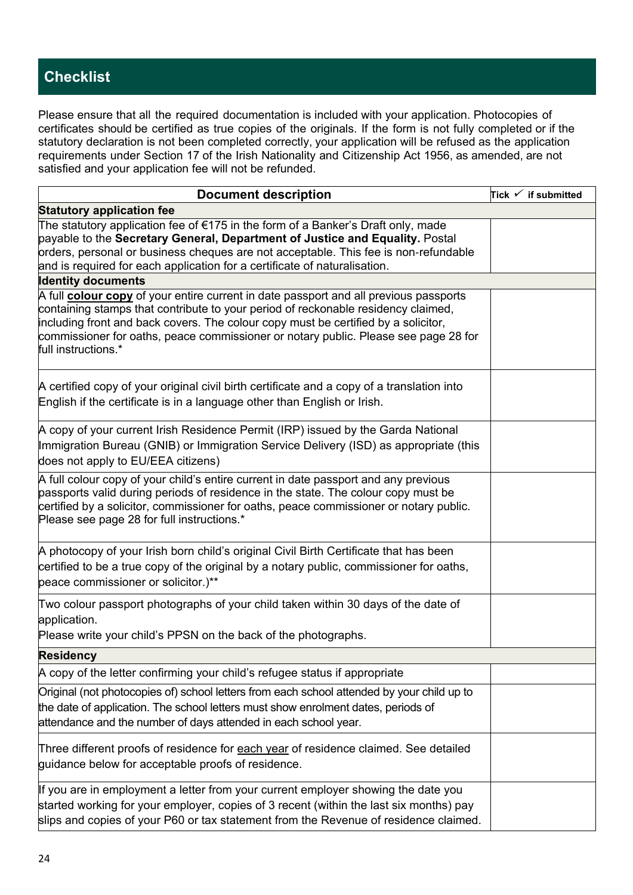# **Checklist**

Please ensure that all the required documentation is included with your application. Photocopies of certificates should be certified as true copies of the originals. If the form is not fully completed or if the statutory declaration is not been completed correctly, your application will be refused as the application requirements under Section 17 of the Irish Nationality and Citizenship Act 1956, as amended, are not satisfied and your application fee will not be refunded.

| <b>Document description</b>                                                                                                                                                                                                                                                                                                                                                           | Tick $\checkmark$ if submitted |
|---------------------------------------------------------------------------------------------------------------------------------------------------------------------------------------------------------------------------------------------------------------------------------------------------------------------------------------------------------------------------------------|--------------------------------|
| <b>Statutory application fee</b>                                                                                                                                                                                                                                                                                                                                                      |                                |
| The statutory application fee of €175 in the form of a Banker's Draft only, made<br>payable to the Secretary General, Department of Justice and Equality. Postal<br>orders, personal or business cheques are not acceptable. This fee is non-refundable<br>and is required for each application for a certificate of naturalisation.                                                  |                                |
| <b>Identity documents</b>                                                                                                                                                                                                                                                                                                                                                             |                                |
| A full <b>colour copy</b> of your entire current in date passport and all previous passports<br>containing stamps that contribute to your period of reckonable residency claimed,<br>including front and back covers. The colour copy must be certified by a solicitor,<br>commissioner for oaths, peace commissioner or notary public. Please see page 28 for<br>full instructions.* |                                |
| A certified copy of your original civil birth certificate and a copy of a translation into<br>English if the certificate is in a language other than English or Irish.                                                                                                                                                                                                                |                                |
| A copy of your current Irish Residence Permit (IRP) issued by the Garda National<br>Immigration Bureau (GNIB) or Immigration Service Delivery (ISD) as appropriate (this<br>does not apply to EU/EEA citizens)                                                                                                                                                                        |                                |
| A full colour copy of your child's entire current in date passport and any previous<br>passports valid during periods of residence in the state. The colour copy must be<br>certified by a solicitor, commissioner for oaths, peace commissioner or notary public.<br>Please see page 28 for full instructions.*                                                                      |                                |
| A photocopy of your Irish born child's original Civil Birth Certificate that has been<br>certified to be a true copy of the original by a notary public, commissioner for oaths,<br>peace commissioner or solicitor.)**                                                                                                                                                               |                                |
| Two colour passport photographs of your child taken within 30 days of the date of<br>application.<br>Please write your child's PPSN on the back of the photographs.                                                                                                                                                                                                                   |                                |
| <b>Residency</b>                                                                                                                                                                                                                                                                                                                                                                      |                                |
| A copy of the letter confirming your child's refugee status if appropriate                                                                                                                                                                                                                                                                                                            |                                |
| Original (not photocopies of) school letters from each school attended by your child up to<br>the date of application. The school letters must show enrolment dates, periods of<br>attendance and the number of days attended in each school year.                                                                                                                                    |                                |
| Three different proofs of residence for each year of residence claimed. See detailed<br>guidance below for acceptable proofs of residence.                                                                                                                                                                                                                                            |                                |
| If you are in employment a letter from your current employer showing the date you<br>started working for your employer, copies of 3 recent (within the last six months) pay<br>slips and copies of your P60 or tax statement from the Revenue of residence claimed.                                                                                                                   |                                |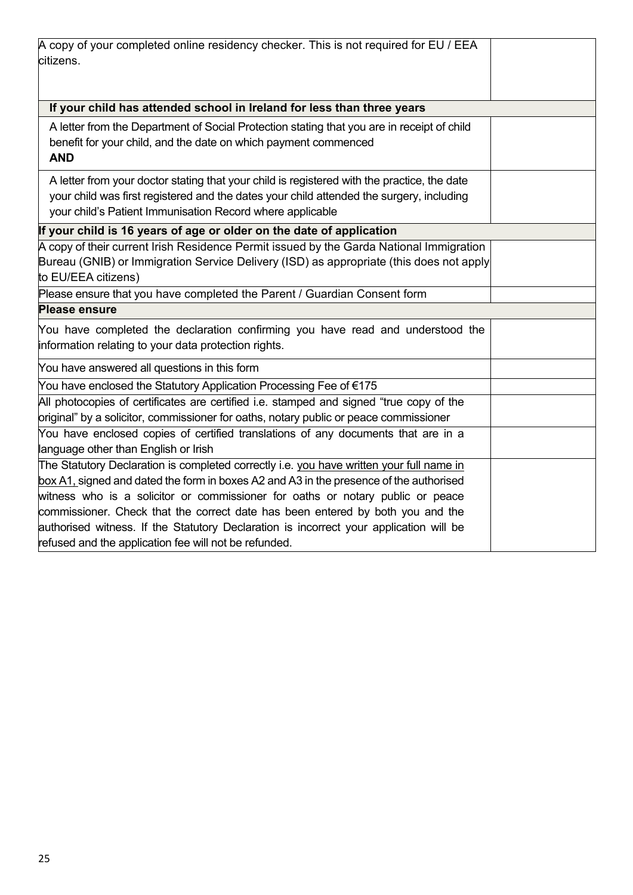| A copy of your completed online residency checker. This is not required for EU / EEA        |  |
|---------------------------------------------------------------------------------------------|--|
| citizens.                                                                                   |  |
|                                                                                             |  |
| If your child has attended school in Ireland for less than three years                      |  |
| A letter from the Department of Social Protection stating that you are in receipt of child  |  |
| benefit for your child, and the date on which payment commenced<br><b>AND</b>               |  |
| A letter from your doctor stating that your child is registered with the practice, the date |  |
| your child was first registered and the dates your child attended the surgery, including    |  |
| your child's Patient Immunisation Record where applicable                                   |  |
| If your child is 16 years of age or older on the date of application                        |  |
| A copy of their current Irish Residence Permit issued by the Garda National Immigration     |  |
| Bureau (GNIB) or Immigration Service Delivery (ISD) as appropriate (this does not apply     |  |
| to EU/EEA citizens)                                                                         |  |
| Please ensure that you have completed the Parent / Guardian Consent form                    |  |
| <b>Please ensure</b>                                                                        |  |
| You have completed the declaration confirming you have read and understood the              |  |
| information relating to your data protection rights.                                        |  |
| You have answered all questions in this form                                                |  |
| You have enclosed the Statutory Application Processing Fee of €175                          |  |
| All photocopies of certificates are certified i.e. stamped and signed "true copy of the     |  |
| original" by a solicitor, commissioner for oaths, notary public or peace commissioner       |  |
| You have enclosed copies of certified translations of any documents that are in a           |  |
| language other than English or Irish                                                        |  |
| The Statutory Declaration is completed correctly i.e. you have written your full name in    |  |
| box A1, signed and dated the form in boxes A2 and A3 in the presence of the authorised      |  |
| witness who is a solicitor or commissioner for oaths or notary public or peace              |  |
| commissioner. Check that the correct date has been entered by both you and the              |  |
| authorised witness. If the Statutory Declaration is incorrect your application will be      |  |
| refused and the application fee will not be refunded.                                       |  |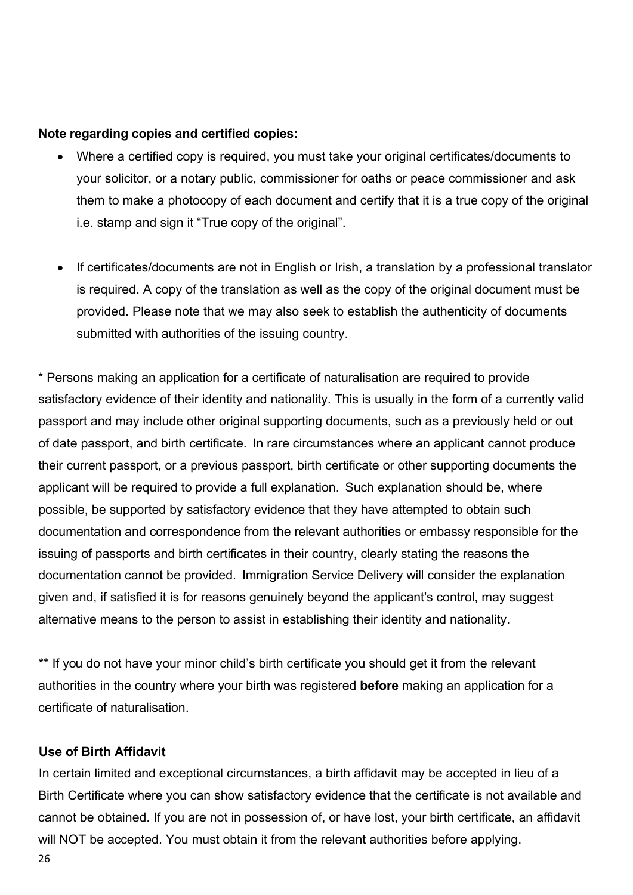#### **Note regarding copies and certified copies:**

- Where a certified copy is required, you must take your original certificates/documents to your solicitor, or a notary public, commissioner for oaths or peace commissioner and ask them to make a photocopy of each document and certify that it is a true copy of the original i.e. stamp and sign it "True copy of the original".
- If certificates/documents are not in English or Irish, a translation by a professional translator is required. A copy of the translation as well as the copy of the original document must be provided. Please note that we may also seek to establish the authenticity of documents submitted with authorities of the issuing country.

\* Persons making an application for a certificate of naturalisation are required to provide satisfactory evidence of their identity and nationality. This is usually in the form of a currently valid passport and may include other original supporting documents, such as a previously held or out of date passport, and birth certificate. In rare circumstances where an applicant cannot produce their current passport, or a previous passport, birth certificate or other supporting documents the applicant will be required to provide a full explanation. Such explanation should be, where possible, be supported by satisfactory evidence that they have attempted to obtain such documentation and correspondence from the relevant authorities or embassy responsible for the issuing of passports and birth certificates in their country, clearly stating the reasons the documentation cannot be provided. Immigration Service Delivery will consider the explanation given and, if satisfied it is for reasons genuinely beyond the applicant's control, may suggest alternative means to the person to assist in establishing their identity and nationality.

\*\* If you do not have your minor child's birth certificate you should get it from the relevant authorities in the country where your birth was registered **before** making an application for a certificate of naturalisation.

#### **Use of Birth Affidavit**

In certain limited and exceptional circumstances, a birth affidavit may be accepted in lieu of a Birth Certificate where you can show satisfactory evidence that the certificate is not available and cannot be obtained. If you are not in possession of, or have lost, your birth certificate, an affidavit will NOT be accepted. You must obtain it from the relevant authorities before applying.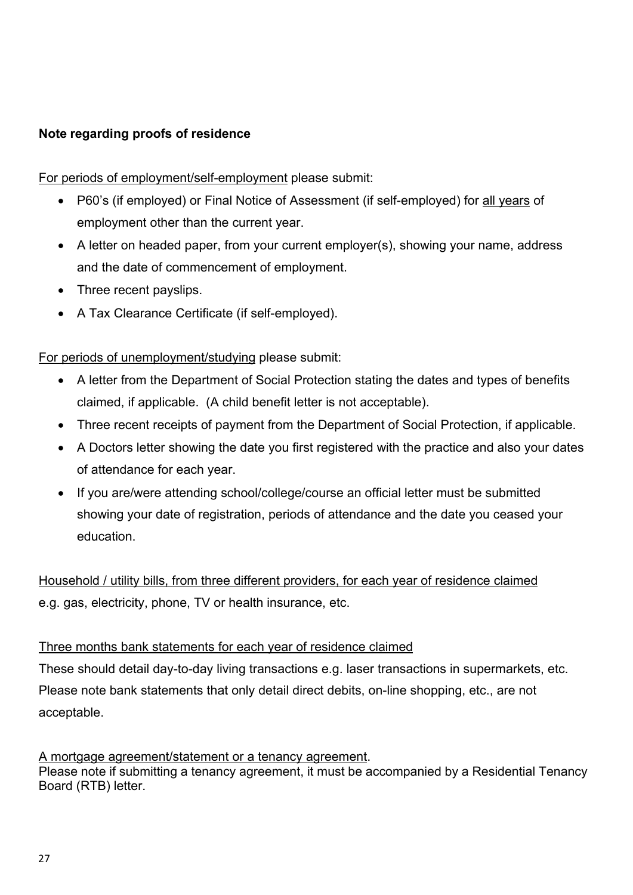### **Note regarding proofs of residence**

For periods of employment/self-employment please submit:

- P60's (if employed) or Final Notice of Assessment (if self-employed) for all years of employment other than the current year.
- A letter on headed paper, from your current employer(s), showing your name, address and the date of commencement of employment.
- Three recent payslips.
- A Tax Clearance Certificate (if self-employed).

For periods of unemployment/studying please submit:

- A letter from the Department of Social Protection stating the dates and types of benefits claimed, if applicable. (A child benefit letter is not acceptable).
- Three recent receipts of payment from the Department of Social Protection, if applicable.
- A Doctors letter showing the date you first registered with the practice and also your dates of attendance for each year.
- If you are/were attending school/college/course an official letter must be submitted showing your date of registration, periods of attendance and the date you ceased your education.

Household / utility bills, from three different providers, for each year of residence claimed e.g. gas, electricity, phone, TV or health insurance, etc.

#### Three months bank statements for each year of residence claimed

These should detail day-to-day living transactions e.g. laser transactions in supermarkets, etc. Please note bank statements that only detail direct debits, on-line shopping, etc., are not acceptable.

#### A mortgage agreement/statement or a tenancy agreement. Please note if submitting a tenancy agreement, it must be accompanied by a Residential Tenancy Board (RTB) letter.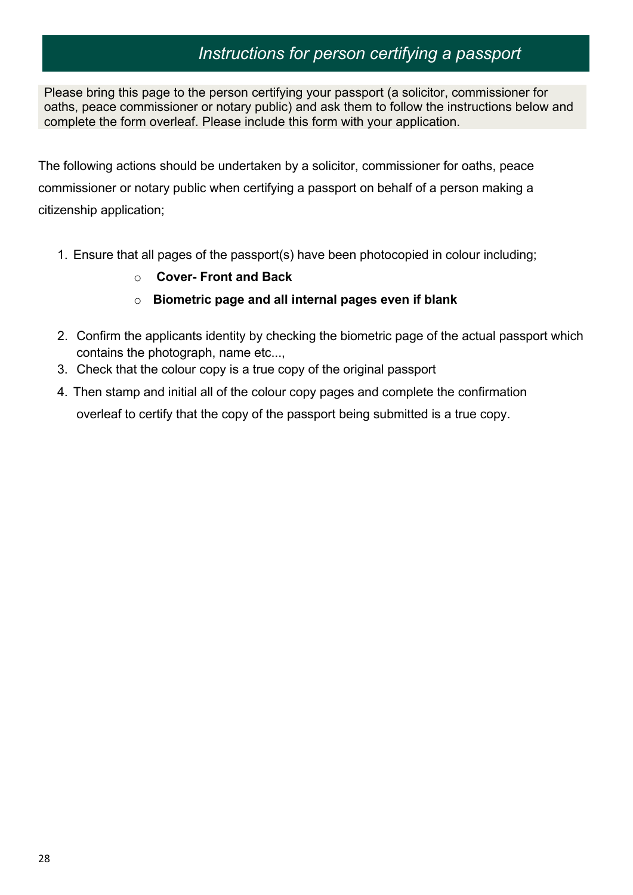# *Instructions for person certifying a passport*

Please bring this page to the person certifying your passport (a solicitor, commissioner for oaths, peace commissioner or notary public) and ask them to follow the instructions below and complete the form overleaf. Please include this form with your application.

The following actions should be undertaken by a solicitor, commissioner for oaths, peace commissioner or notary public when certifying a passport on behalf of a person making a citizenship application;

- 1. Ensure that all pages of the passport(s) have been photocopied in colour including;
	- o **Cover- Front and Back**
	- o **Biometric page and all internal pages even if blank**
- 2. Confirm the applicants identity by checking the biometric page of the actual passport which contains the photograph, name etc...,
- 3. Check that the colour copy is a true copy of the original passport
- 4. Then stamp and initial all of the colour copy pages and complete the confirmation overleaf to certify that the copy of the passport being submitted is a true copy.